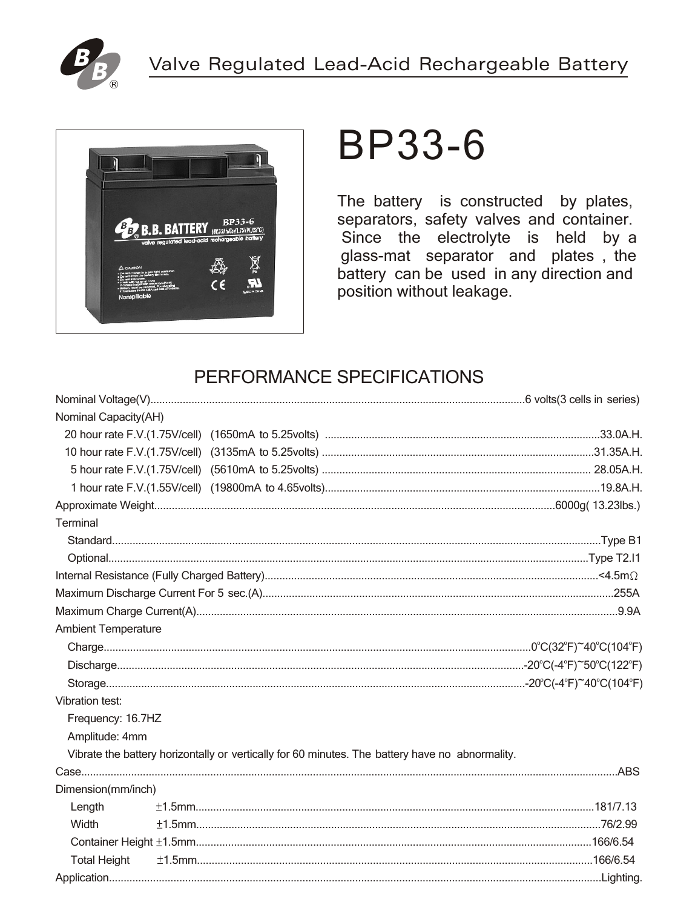



# **BP33-6**

The battery is constructed by plates, separators, safety valves and container. Since the electrolyte is held by a glass-mat separator and plates, the battery can be used in any direction and position without leakage.

## PERFORMANCE SPECIFICATIONS

| Nominal Capacity(AH)       |                                                                                                 |  |  |  |  |
|----------------------------|-------------------------------------------------------------------------------------------------|--|--|--|--|
|                            |                                                                                                 |  |  |  |  |
|                            |                                                                                                 |  |  |  |  |
|                            |                                                                                                 |  |  |  |  |
|                            |                                                                                                 |  |  |  |  |
|                            |                                                                                                 |  |  |  |  |
| Terminal                   |                                                                                                 |  |  |  |  |
|                            |                                                                                                 |  |  |  |  |
|                            |                                                                                                 |  |  |  |  |
|                            |                                                                                                 |  |  |  |  |
|                            |                                                                                                 |  |  |  |  |
|                            |                                                                                                 |  |  |  |  |
| <b>Ambient Temperature</b> |                                                                                                 |  |  |  |  |
|                            |                                                                                                 |  |  |  |  |
|                            |                                                                                                 |  |  |  |  |
|                            |                                                                                                 |  |  |  |  |
| <b>Vibration test:</b>     |                                                                                                 |  |  |  |  |
| Frequency: 16.7HZ          |                                                                                                 |  |  |  |  |
| Amplitude: 4mm             |                                                                                                 |  |  |  |  |
|                            | Vibrate the battery horizontally or vertically for 60 minutes. The battery have no abnormality. |  |  |  |  |
|                            |                                                                                                 |  |  |  |  |
| Dimension(mm/inch)         |                                                                                                 |  |  |  |  |
| Length                     |                                                                                                 |  |  |  |  |
| Width                      |                                                                                                 |  |  |  |  |
|                            |                                                                                                 |  |  |  |  |
| <b>Total Height</b>        |                                                                                                 |  |  |  |  |
|                            |                                                                                                 |  |  |  |  |